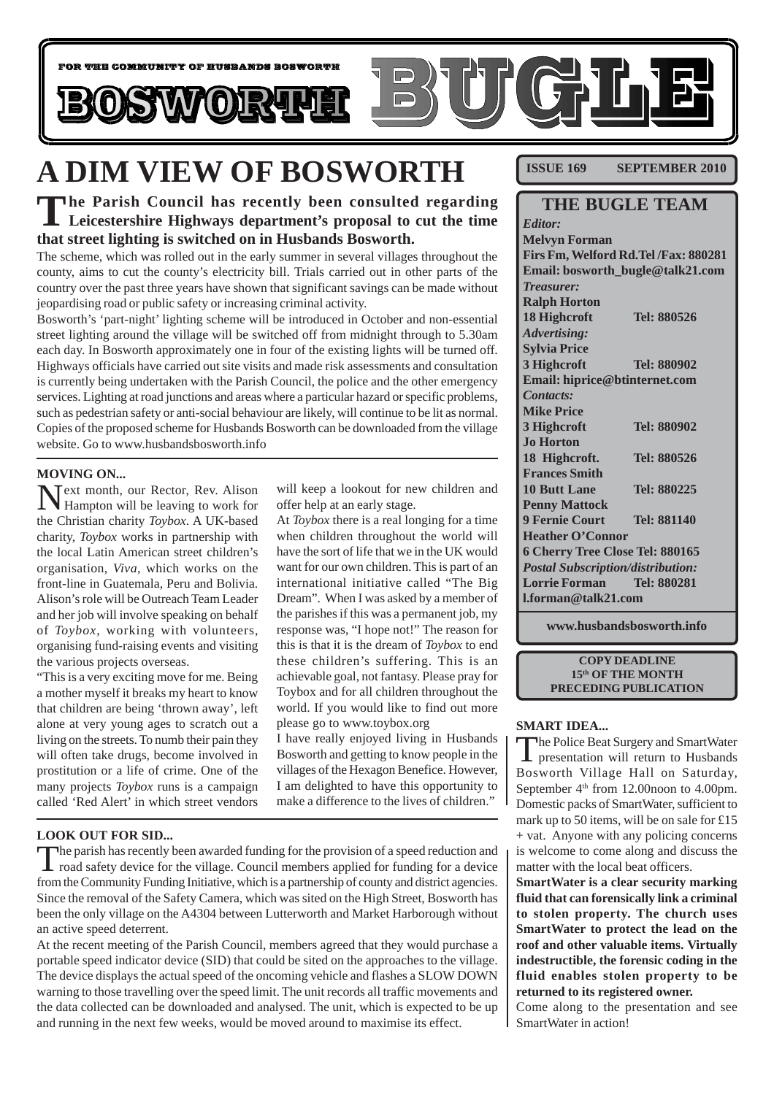

# **A DIM VIEW OF BOSWORTH**

## **The Parish Council has recently been consulted regarding Leicestershire Highways department's proposal to cut the time that street lighting is switched on in Husbands Bosworth.**

The scheme, which was rolled out in the early summer in several villages throughout the county, aims to cut the county's electricity bill. Trials carried out in other parts of the country over the past three years have shown that significant savings can be made without jeopardising road or public safety or increasing criminal activity.

Bosworth's 'part-night' lighting scheme will be introduced in October and non-essential street lighting around the village will be switched off from midnight through to 5.30am each day. In Bosworth approximately one in four of the existing lights will be turned off. Highways officials have carried out site visits and made risk assessments and consultation is currently being undertaken with the Parish Council, the police and the other emergency services. Lighting at road junctions and areas where a particular hazard or specific problems, such as pedestrian safety or anti-social behaviour are likely, will continue to be lit as normal. Copies of the proposed scheme for Husbands Bosworth can be downloaded from the village website. Go to www.husbandsbosworth.info

#### **MOVING ON...**

Text month, our Rector, Rev. Alison Hampton will be leaving to work for the Christian charity *Toybox*. A UK-based charity, *Toybox* works in partnership with the local Latin American street children's organisation, *Viva*, which works on the front-line in Guatemala, Peru and Bolivia. Alison's role will be Outreach Team Leader and her job will involve speaking on behalf of *Toybox*, working with volunteers, organising fund-raising events and visiting the various projects overseas.

"This is a very exciting move for me. Being a mother myself it breaks my heart to know that children are being 'thrown away', left alone at very young ages to scratch out a living on the streets. To numb their pain they will often take drugs, become involved in prostitution or a life of crime. One of the many projects *Toybox* runs is a campaign called 'Red Alert' in which street vendors

will keep a lookout for new children and offer help at an early stage.

At *Toybox* there is a real longing for a time when children throughout the world will have the sort of life that we in the UK would want for our own children. This is part of an international initiative called "The Big Dream". When I was asked by a member of the parishes if this was a permanent job, my response was, "I hope not!" The reason for this is that it is the dream of *Toybox* to end these children's suffering. This is an achievable goal, not fantasy. Please pray for Toybox and for all children throughout the world. If you would like to find out more please go to www.toybox.org

I have really enjoyed living in Husbands Bosworth and getting to know people in the villages of the Hexagon Benefice. However, I am delighted to have this opportunity to make a difference to the lives of children."

#### **LOOK OUT FOR SID...**

The parish has recently been awarded funding for the provision of a speed reduction and road safety device for the village. Council members applied for funding for a device from the Community Funding Initiative, which is a partnership of county and district agencies. Since the removal of the Safety Camera, which was sited on the High Street, Bosworth has been the only village on the A4304 between Lutterworth and Market Harborough without an active speed deterrent.

At the recent meeting of the Parish Council, members agreed that they would purchase a portable speed indicator device (SID) that could be sited on the approaches to the village. The device displays the actual speed of the oncoming vehicle and flashes a SLOW DOWN warning to those travelling over the speed limit. The unit records all traffic movements and the data collected can be downloaded and analysed. The unit, which is expected to be up and running in the next few weeks, would be moved around to maximise its effect.

**ISSUE 169 SEPTEMBER 2010** 

| <b>THE BUGLE TEAM</b>                    |                    |  |
|------------------------------------------|--------------------|--|
| <b>Editor:</b>                           |                    |  |
| <b>Melvyn Forman</b>                     |                    |  |
| Firs Fm, Welford Rd. Tel /Fax: 880281    |                    |  |
| Email: bosworth_bugle@talk21.com         |                    |  |
| <b>Treasurer:</b>                        |                    |  |
| <b>Ralph Horton</b>                      |                    |  |
| 18 Highcroft                             | Tel: 880526        |  |
| <b>Advertising:</b>                      |                    |  |
| <b>Sylvia Price</b>                      |                    |  |
| 3 Highcroft                              | Tel: 880902        |  |
| Email: hiprice@btinternet.com            |                    |  |
| Contacts:                                |                    |  |
| <b>Mike Price</b>                        |                    |  |
| 3 Highcroft                              | Tel: 880902        |  |
| <b>Jo Horton</b>                         |                    |  |
| 18 Highcroft.                            | Tel: 880526        |  |
| <b>Frances Smith</b>                     |                    |  |
| <b>10 Butt Lane</b>                      | Tel: 880225        |  |
| <b>Penny Mattock</b>                     |                    |  |
| <b>9 Fernie Court</b>                    | Tel: 881140        |  |
| <b>Heather O'Connor</b>                  |                    |  |
| 6 Cherry Tree Close Tel: 880165          |                    |  |
| <b>Postal Subscription/distribution:</b> |                    |  |
| <b>Lorrie Forman</b>                     | <b>Tel: 880281</b> |  |
| l.forman@talk21.com                      |                    |  |

**www.husbandsbosworth.info**

#### **COPY DEADLINE 15th OF THE MONTH PRECEDING PUBLICATION**

#### **SMART IDEA...**

The Police Beat Surgery and SmartWater **L** presentation will return to Husbands Bosworth Village Hall on Saturday, September  $4<sup>th</sup>$  from 12.00noon to 4.00pm. Domestic packs of SmartWater, sufficient to mark up to 50 items, will be on sale for £15 + vat. Anyone with any policing concerns is welcome to come along and discuss the matter with the local beat officers.

**SmartWater is a clear security marking fluid that can forensically link a criminal to stolen property. The church uses SmartWater to protect the lead on the roof and other valuable items. Virtually indestructible, the forensic coding in the fluid enables stolen property to be returned to its registered owner.**

Come along to the presentation and see SmartWater in action!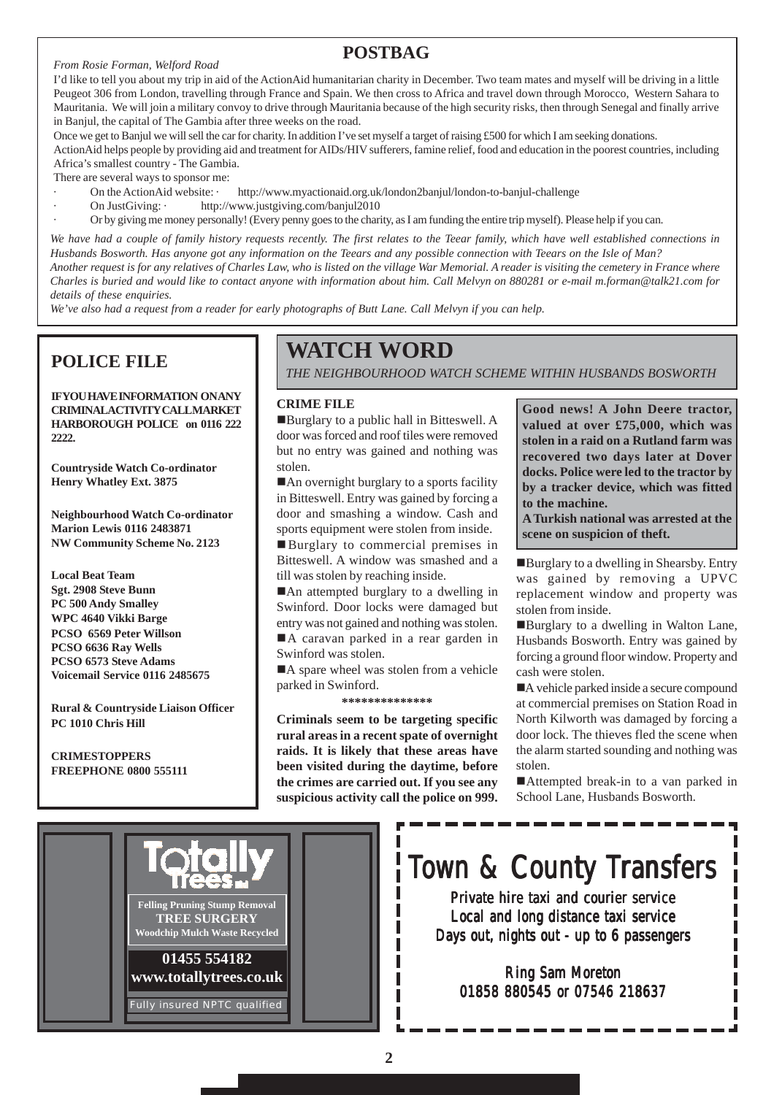#### *From Rosie Forman, Welford Road*

### **POSTBAG**

I'd like to tell you about my trip in aid of the ActionAid humanitarian charity in December. Two team mates and myself will be driving in a little Peugeot 306 from London, travelling through France and Spain. We then cross to Africa and travel down through Morocco, Western Sahara to Mauritania. We will join a military convoy to drive through Mauritania because of the high security risks, then through Senegal and finally arrive in Banjul, the capital of The Gambia after three weeks on the road.

Once we get to Banjul we will sell the car for charity. In addition I've set myself a target of raising £500 for which I am seeking donations.

ActionAid helps people by providing aid and treatment for AIDs/HIV sufferers, famine relief, food and education in the poorest countries, including Africa's smallest country - The Gambia.

There are several ways to sponsor me:

- · On the ActionAid website: · http://www.myactionaid.org.uk/london2banjul/london-to-banjul-challenge
- On JustGiving: http://www.justgiving.com/banjul2010
- · Or by giving me money personally! (Every penny goes to the charity, as I am funding the entire trip myself). Please help if you can.

*We have had a couple of family history requests recently. The first relates to the Teear family, which have well established connections in Husbands Bosworth. Has anyone got any information on the Teears and any possible connection with Teears on the Isle of Man? Another request is for any relatives of Charles Law, who is listed on the village War Memorial. A reader is visiting the cemetery in France where Charles is buried and would like to contact anyone with information about him. Call Melvyn on 880281 or e-mail m.forman@talk21.com for details of these enquiries.*

*We've also had a request from a reader for early photographs of Butt Lane. Call Melvyn if you can help.*

## **POLICE FILE**

**IFVOUHAVE INFORMATION ON ANY CRIMINAL ACTIVITY CALL MARKET HARBOROUGH POLICE on 0116 222 2222.**

**Countryside Watch Co-ordinator Henry Whatley Ext. 3875**

**Neighbourhood Watch Co-ordinator Marion Lewis 0116 2483871 NW Community Scheme No. 2123**

**Local Beat Team Sgt. 2908 Steve Bunn PC 500 Andy Smalley WPC 4640 Vikki Barge PCSO 6569 Peter Willson PCSO 6636 Ray Wells PCSO 6573 Steve Adams Voicemail Service 0116 2485675**

**Rural & Countryside Liaison Officer PC 1010 Chris Hill**

**CRIMESTOPPERS FREEPHONE 0800 555111**

# **WATCH WORD**

*THE NEIGHBOURHOOD WATCH SCHEME WITHIN HUSBANDS BOSWORTH*

#### **CRIME FILE**

!Burglary to a public hall in Bitteswell. A door was forced and roof tiles were removed but no entry was gained and nothing was stolen.

 $\blacksquare$  An overnight burglary to a sports facility in Bitteswell. Entry was gained by forcing a door and smashing a window. Cash and sports equipment were stolen from inside.

!Burglary to commercial premises in Bitteswell. A window was smashed and a till was stolen by reaching inside.

■An attempted burglary to a dwelling in Swinford. Door locks were damaged but entry was not gained and nothing was stolen. ■A caravan parked in a rear garden in Swinford was stolen.

A spare wheel was stolen from a vehicle parked in Swinford.

**\*\*\*\*\*\*\*\*\*\*\*\*\*\***

**Criminals seem to be targeting specific rural areas in a recent spate of overnight raids. It is likely that these areas have been visited during the daytime, before the crimes are carried out. If you see any suspicious activity call the police on 999.**

П

I

**Good news! A John Deere tractor, valued at over £75,000, which was stolen in a raid on a Rutland farm was recovered two days later at Dover docks. Police were led to the tractor by by a tracker device, which was fitted to the machine.**

**A Turkish national was arrested at the scene on suspicion of theft.**

■Burglary to a dwelling in Shearsby. Entry was gained by removing a UPVC replacement window and property was stolen from inside.

!Burglary to a dwelling in Walton Lane, Husbands Bosworth. Entry was gained by forcing a ground floor window. Property and cash were stolen.

A vehicle parked inside a secure compound at commercial premises on Station Road in North Kilworth was damaged by forcing a door lock. The thieves fled the scene when the alarm started sounding and nothing was stolen.

!Attempted break-in to a van parked in School Lane, Husbands Bosworth.

# **01455 554182 www.totallytrees.co.uk** Fully insured NPTC qualified **Felling Pruning Stump Removal TREE SURGERY Woodchip Mulch Waste Recycled**

# Town & County Transfers

Private hire taxi and courier service Local and long distance taxi service Days out, nights out - up to  $6$  passengers

Ring Sam Moreton 01858 880545 or 07546 218637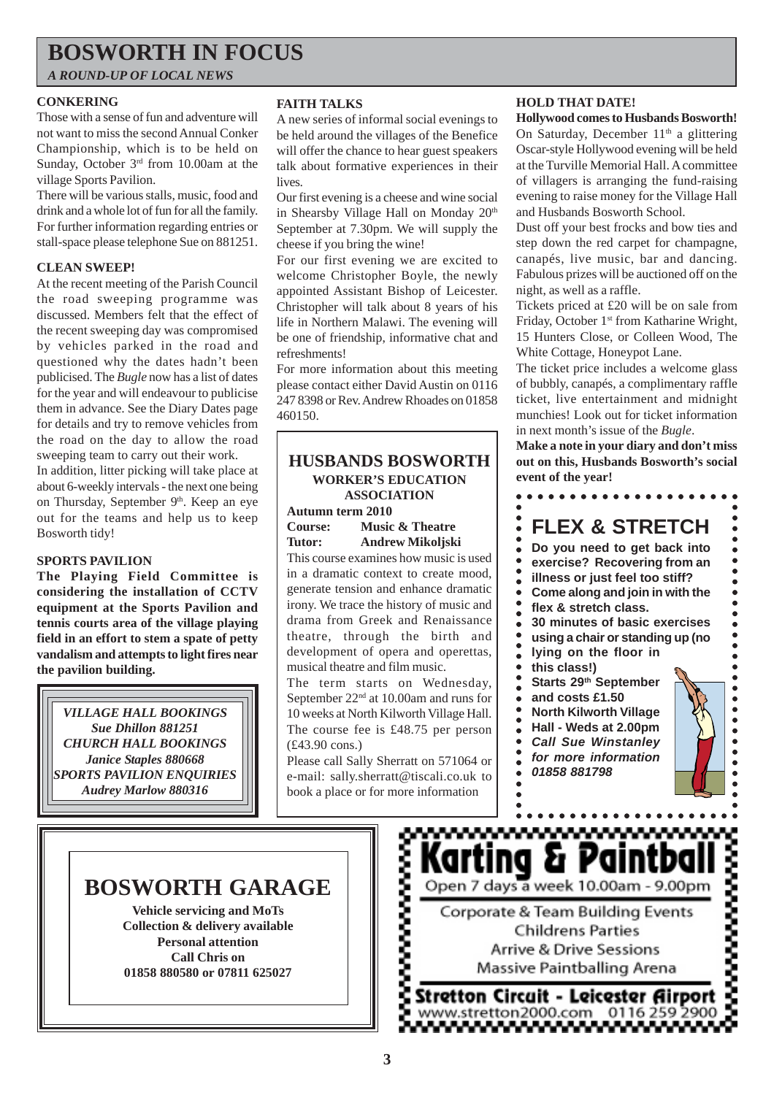# **BOSWORTH IN FOCUS**

*A ROUND-UP OF LOCAL NEWS*

#### **CONKERING**

Those with a sense of fun and adventure will not want to miss the second Annual Conker Championship, which is to be held on Sunday, October 3<sup>rd</sup> from 10.00am at the village Sports Pavilion.

There will be various stalls, music, food and drink and a whole lot of fun for all the family. For further information regarding entries or stall-space please telephone Sue on 881251.

#### **CLEAN SWEEP!**

At the recent meeting of the Parish Council the road sweeping programme was discussed. Members felt that the effect of the recent sweeping day was compromised by vehicles parked in the road and questioned why the dates hadn't been publicised. The *Bugle* now has a list of dates for the year and will endeavour to publicise them in advance. See the Diary Dates page for details and try to remove vehicles from the road on the day to allow the road sweeping team to carry out their work.

In addition, litter picking will take place at about 6-weekly intervals - the next one being on Thursday, September 9th. Keep an eye out for the teams and help us to keep Bosworth tidy!

#### **SPORTS PAVILION**

**The Playing Field Committee is considering the installation of CCTV equipment at the Sports Pavilion and tennis courts area of the village playing field in an effort to stem a spate of petty vandalism and attempts to light fires near the pavilion building.**

*VILLAGE HALL BOOKINGS Sue Dhillon 881251 CHURCH HALL BOOKINGS Janice Staples 880668 SPORTS PAVILION ENQUIRIES Audrey Marlow 880316*

### **FAITH TALKS**

A new series of informal social evenings to be held around the villages of the Benefice will offer the chance to hear guest speakers talk about formative experiences in their lives.

Our first evening is a cheese and wine social in Shearsby Village Hall on Monday 20<sup>th</sup> September at 7.30pm. We will supply the cheese if you bring the wine!

For our first evening we are excited to welcome Christopher Boyle, the newly appointed Assistant Bishop of Leicester. Christopher will talk about 8 years of his life in Northern Malawi. The evening will be one of friendship, informative chat and refreshments!

For more information about this meeting please contact either David Austin on 0116 247 8398 or Rev. Andrew Rhoades on 01858 460150.

### **HUSBANDS BOSWORTH WORKER'S EDUCATION ASSOCIATION**

**Autumn term 2010**

**Course: Music & Theatre Tutor: Andrew Mikoljski**

This course examines how music is used in a dramatic context to create mood, generate tension and enhance dramatic irony. We trace the history of music and drama from Greek and Renaissance theatre, through the birth and development of opera and operettas, musical theatre and film music.

The term starts on Wednesday, September 22nd at 10.00am and runs for 10 weeks at North Kilworth Village Hall. The course fee is £48.75 per person (£43.90 cons.)

Please call Sally Sherratt on 571064 or e-mail: sally.sherratt@tiscali.co.uk to book a place or for more information

#### **HOLD THAT DATE!**

**Hollywood comes to Husbands Bosworth!** On Saturday, December  $11<sup>th</sup>$  a glittering Oscar-style Hollywood evening will be held at the Turville Memorial Hall. A committee of villagers is arranging the fund-raising evening to raise money for the Village Hall and Husbands Bosworth School.

Dust off your best frocks and bow ties and step down the red carpet for champagne, canapés, live music, bar and dancing. Fabulous prizes will be auctioned off on the night, as well as a raffle.

Tickets priced at £20 will be on sale from Friday, October 1<sup>st</sup> from Katharine Wright, 15 Hunters Close, or Colleen Wood, The White Cottage, Honeypot Lane.

The ticket price includes a welcome glass of bubbly, canapés, a complimentary raffle ticket, live entertainment and midnight munchies! Look out for ticket information in next month's issue of the *Bugle*.

**Make a note in your diary and don't miss out on this, Husbands Bosworth's social event of the year!**



Corporate & Team Building Events **Childrens Parties** Arrive & Drive Sessions Massive Paintballing Arena

# **BOSWORTH GARAGE**

**Vehicle servicing and MoTs Collection & delivery available Personal attention Call Chris on 01858 880580 or 07811 625027**

Stretton Circait - Leicester Airport www.stretton2000.com 0116 259 2900 www.www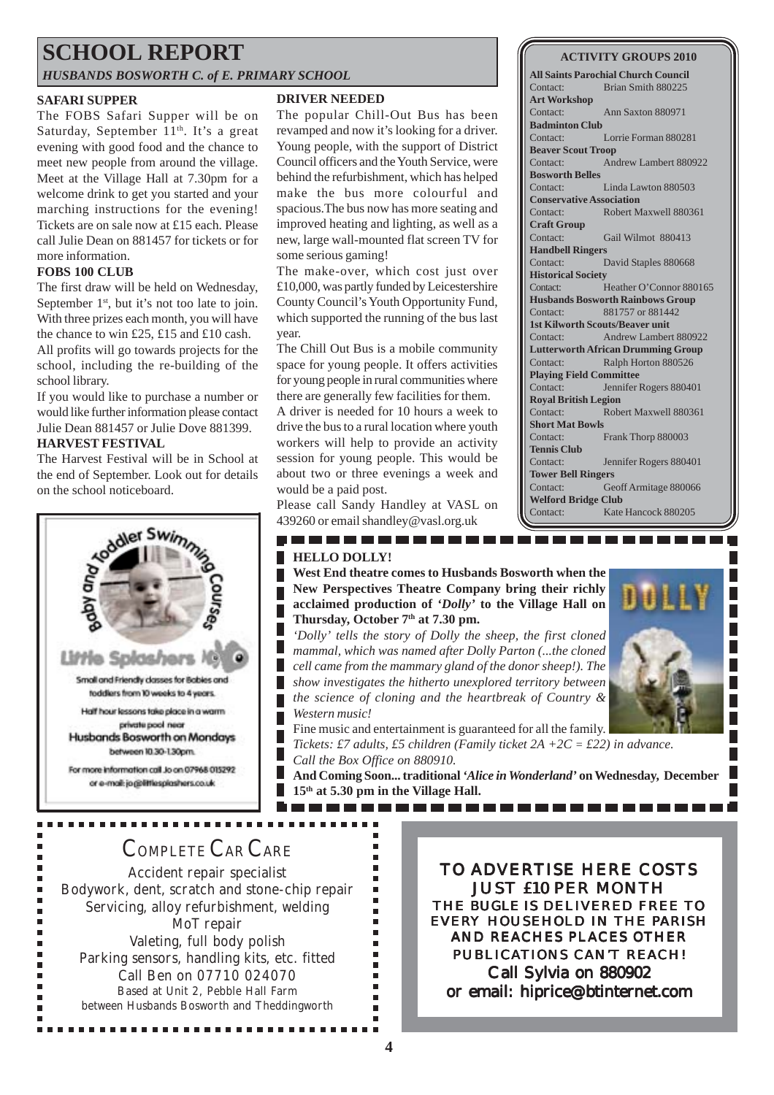# **SCHOOL REPORT**

*HUSBANDS BOSWORTH C. of E. PRIMARY SCHOOL*

#### **SAFARI SUPPER**

The FOBS Safari Supper will be on Saturday, September 11<sup>th</sup>. It's a great evening with good food and the chance to meet new people from around the village. Meet at the Village Hall at 7.30pm for a welcome drink to get you started and your marching instructions for the evening! Tickets are on sale now at £15 each. Please call Julie Dean on 881457 for tickets or for more information.

#### **FOBS 100 CLUB**

The first draw will be held on Wednesday, September  $1<sup>st</sup>$ , but it's not too late to join. With three prizes each month, you will have the chance to win £25, £15 and £10 cash. All profits will go towards projects for the school, including the re-building of the

school library. If you would like to purchase a number or would like further information please contact Julie Dean 881457 or Julie Dove 881399.

### **HARVEST FESTIVAL**

The Harvest Festival will be in School at the end of September. Look out for details on the school noticeboard.



#### **DRIVER NEEDED**

The popular Chill-Out Bus has been revamped and now it's looking for a driver. Young people, with the support of District Council officers and the Youth Service, were behind the refurbishment, which has helped make the bus more colourful and spacious.The bus now has more seating and improved heating and lighting, as well as a new, large wall-mounted flat screen TV for some serious gaming!

The make-over, which cost just over £10,000, was partly funded by Leicestershire County Council's Youth Opportunity Fund, which supported the running of the bus last year.

The Chill Out Bus is a mobile community space for young people. It offers activities for young people in rural communities where there are generally few facilities for them. A driver is needed for 10 hours a week to drive the bus to a rural location where youth workers will help to provide an activity session for young people. This would be about two or three evenings a week and would be a paid post.

Please call Sandy Handley at VASL on 439260 or email shandley@vasl.org.uk

-----------

#### **ACTIVITY GROUPS 2010**

**All Saints Parochial Church Council** Contact: Brian Smith 880225 **Art Workshop** Contact: Ann Saxton 880971 **Badminton Club** Contact: Lorrie Forman 880281 **Beaver Scout Troop** Contact: Andrew Lambert 880922 **Bosworth Belles** Contact: Linda Lawton 880503 **Conservative Association** Contact: Robert Maxwell 880361 **Craft Group** Contact: Gail Wilmot 880413 **Handbell Ringers** Contact: David Staples 880668 **Historical Society** Contact: Heather O'Connor 880165 **Husbands Bosworth Rainbows Group** Contact: 881757 or 881442 **1st Kilworth Scouts/Beaver unit** Contact: Andrew Lambert 880922 **Lutterworth African Drumming Group** Contact: Ralph Horton 880526 **Playing Field Committee** Contact: Jennifer Rogers 880401 **Royal British Legion** Contact: Robert Maxwell 880361 **Short Mat Bowls** Contact: Frank Thorp 880003 **Tennis Club** Contact: Jennifer Rogers 880401 **Tower Bell Ringers** Contact: Geoff Armitage 880066 **Welford Bridge Club** Contact: Kate Hancock 880205

### **HELLO DOLLY!**

П

**West End theatre comes to Husbands Bosworth when the New Perspectives Theatre Company bring their richly acclaimed production of** *'Dolly'* **to the Village Hall on** Thursday, October 7<sup>th</sup> at 7.30 pm.

*'Dolly' tells the story of Dolly the sheep, the first cloned mammal, which was named after Dolly Parton (...the cloned cell came from the mammary gland of the donor sheep!). The show investigates the hitherto unexplored territory between the science of cloning and the heartbreak of Country & Western music!*



Fine music and entertainment is guaranteed for all the family. *Tickets: £7 adults, £5 children (Family ticket 2A +2C = £22) in advance. Call the Box Office on 880910.*

**And Coming Soon... traditional** *'Alice in Wonderland'* **on Wednesday, December 15th at 5.30 pm in the Village Hall.**

# COMPLETE CAR CARE

Accident repair specialist Bodywork, dent, scratch and stone-chip repair Servicing, alloy refurbishment, welding MoT repair Valeting, full body polish Parking sensors, handling kits, etc. fitted Call Ben on 07710 024070 Based at Unit 2, Pebble Hall Farm between Husbands Bosworth and Theddingworth

.............

TO ADVERTISE HERE COSTS JUST £10 PER MONTH THE *BUGLE* IS DELIVERED FREE TO EVERY HOUSEHOLD IN THE PARISH AND REACHES PLACES OTHER PUBLICATIONS CAN'T REACH! Call Sylvia on 880902 or email: hiprice@btinternet.com

٠  $\blacksquare$  $\blacksquare$ ш п ٠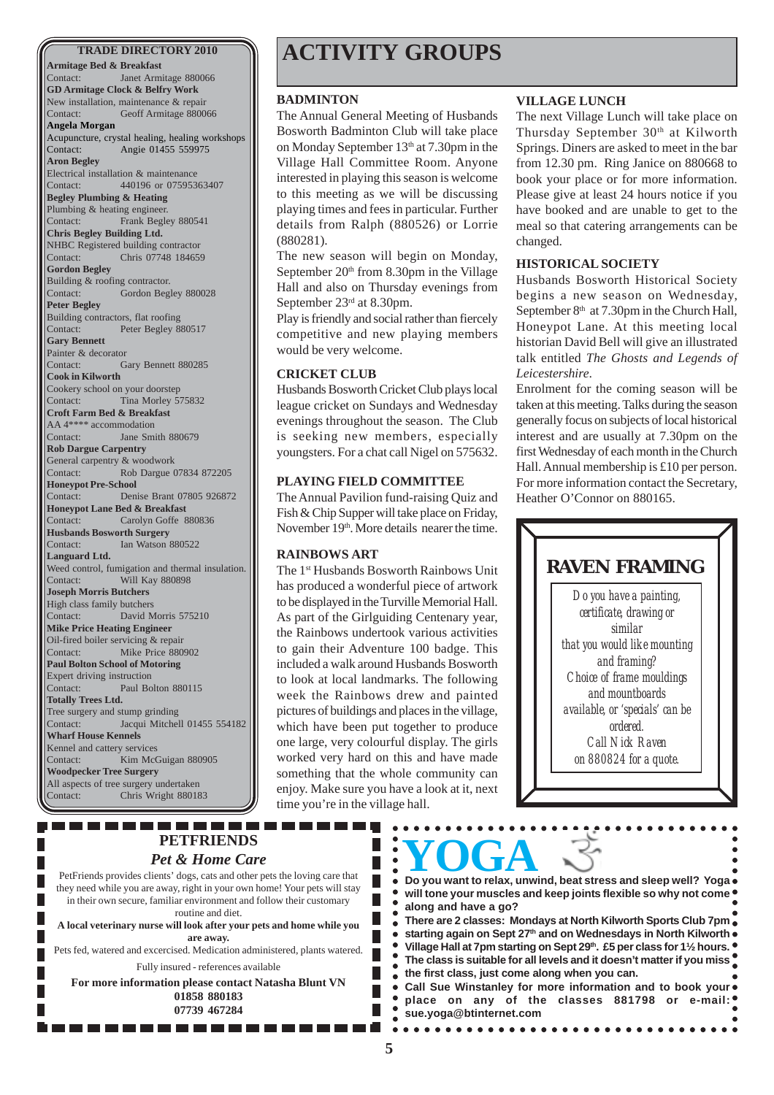**Armitage Bed & Breakfast** Contact: Janet Armitage 880066 **GD Armitage Clock & Belfry Work** New installation, maintenance & repair Contact: Geoff Armitage 880066 **Angela Morgan** Acupuncture, crystal healing, healing workshops Contact: Angie 01455 559975 **Aron Begley** Electrical installation & maintenance Contact: 440196 or 07595363407 **Begley Plumbing & Heating** Plumbing & heating engineer. Contact: Frank Begley 880541 **Chris Begley Building Ltd.** NHBC Registered building contractor Contact: Chris 07748 184659 **Gordon Begley** Building & roofing contractor. Contact: Gordon Begley 880028 **Peter Begley** Building contractors, flat roofing Contact: Peter Begley 880517 **Gary Bennett** Painter & decorator Contact: Gary Bennett 880285 **Cook in Kilworth** Cookery school on your doorstep Contact: Tina Morley 575832 **Croft Farm Bed & Breakfast** AA 4\*\*\*\* accommodation Contact: Jane Smith 880679 **Rob Dargue Carpentry** General carpentry & woodwork Contact: Rob Dargue 07834 872205 **Honeypot Pre-School** Contact: Denise Brant 07805 926872 **Honeypot Lane Bed & Breakfast** Contact: Carolyn Goffe 880836 **Husbands Bosworth Surgery** Contact: Ian Watson 880522 **Languard Ltd.** Weed control, fumigation and thermal insulation. Contact: Will Kay 880898 **Joseph Morris Butchers** High class family butchers Contact: David Morris 575210 **Mike Price Heating Engineer** Oil-fired boiler servicing & repair Contact: Mike Price 880902 **Paul Bolton School of Motoring** Expert driving instruction Contact: Paul Bolton 880115 **Totally Trees Ltd.** Tree surgery and stump grinding Contact: Jacqui Mitchell 01455 554182 **Wharf House Kennels** Kennel and cattery services Contact: Kim McGuigan 880905 **Woodpecker Tree Surgery** All aspects of tree surgery undertaken Contact: Chris Wright 880183

# **TRADE DIRECTORY 2010 ACTIVITY GROUPS**

#### **BADMINTON**

The Annual General Meeting of Husbands Bosworth Badminton Club will take place on Monday September 13th at 7.30pm in the Village Hall Committee Room. Anyone interested in playing this season is welcome to this meeting as we will be discussing playing times and fees in particular. Further details from Ralph (880526) or Lorrie (880281).

The new season will begin on Monday, September  $20<sup>th</sup>$  from 8.30pm in the Village Hall and also on Thursday evenings from September 23rd at 8.30pm.

Play is friendly and social rather than fiercely competitive and new playing members would be very welcome.

#### **CRICKET CLUB**

Husbands Bosworth Cricket Club plays local league cricket on Sundays and Wednesday evenings throughout the season. The Club is seeking new members, especially youngsters. For a chat call Nigel on 575632.

#### **PLAYING FIELD COMMITTEE**

The Annual Pavilion fund-raising Quiz and Fish & Chip Supper will take place on Friday, November 19<sup>th</sup>. More details nearer the time.

#### **RAINBOWS ART**

The 1<sup>st</sup> Husbands Bosworth Rainbows Unit has produced a wonderful piece of artwork to be displayed in the Turville Memorial Hall. As part of the Girlguiding Centenary year, the Rainbows undertook various activities to gain their Adventure 100 badge. This included a walk around Husbands Bosworth to look at local landmarks. The following week the Rainbows drew and painted pictures of buildings and places in the village, which have been put together to produce one large, very colourful display. The girls worked very hard on this and have made something that the whole community can enjoy. Make sure you have a look at it, next time you're in the village hall.

#### **VILLAGE LUNCH**

The next Village Lunch will take place on Thursday September 30<sup>th</sup> at Kilworth Springs. Diners are asked to meet in the bar from 12.30 pm. Ring Janice on 880668 to book your place or for more information. Please give at least 24 hours notice if you have booked and are unable to get to the meal so that catering arrangements can be changed.

#### **HISTORICAL SOCIETY**

Husbands Bosworth Historical Society begins a new season on Wednesday, September  $8<sup>th</sup>$  at 7.30pm in the Church Hall, Honeypot Lane. At this meeting local historian David Bell will give an illustrated talk entitled *The Ghosts and Legends of Leicestershire*.

Enrolment for the coming season will be taken at this meeting. Talks during the season generally focus on subjects of local historical interest and are usually at 7.30pm on the first Wednesday of each month in the Church Hall. Annual membership is £10 per person. For more information contact the Secretary, Heather O'Connor on 880165.



| <b>PETFRIENDS</b><br><b>Pet &amp; Home Care</b><br>PetFriends provides clients' dogs, cats and other pets the loving care that<br>they need while you are away, right in your own home! Your pets will stay<br>in their own secure, familiar environment and follow their customary<br>routine and diet.<br>A local veterinary nurse will look after your pets and home while you<br>are away.<br>Pets fed, watered and excercised. Medication administered, plants watered.<br>Fully insured - references available<br>For more information please contact Natasha Blunt VN<br>01858 880183<br>07739 467284 | $\mathbf{Y}$ $\mathbf{U}$ $\mathbf{H}$<br>$\bullet$ Do you want to relax, unwind, beat stress and sleep well? Yoga $\bullet$<br>• will tone your muscles and keep joints flexible so why not come .<br>along and have a go?<br>• There are 2 classes: Mondays at North Kilworth Sports Club 7pm<br>• starting again on Sept 27 <sup>th</sup> and on Wednesdays in North Kilworth $\bullet$<br>Village Hall at 7pm starting on Sept 29 <sup>th</sup> . £5 per class for 1 <sup>1</sup> / <sub>2</sub> hours.<br>The class is suitable for all levels and it doesn't matter if you miss.<br>$\bullet$ the first class, just come along when you can.<br>• Call Sue Winstanley for more information and to book your .<br>place on any of the classes 881798 or e-mail:<br>sue.yoga@btinternet.com |
|--------------------------------------------------------------------------------------------------------------------------------------------------------------------------------------------------------------------------------------------------------------------------------------------------------------------------------------------------------------------------------------------------------------------------------------------------------------------------------------------------------------------------------------------------------------------------------------------------------------|-------------------------------------------------------------------------------------------------------------------------------------------------------------------------------------------------------------------------------------------------------------------------------------------------------------------------------------------------------------------------------------------------------------------------------------------------------------------------------------------------------------------------------------------------------------------------------------------------------------------------------------------------------------------------------------------------------------------------------------------------------------------------------------------------|
|--------------------------------------------------------------------------------------------------------------------------------------------------------------------------------------------------------------------------------------------------------------------------------------------------------------------------------------------------------------------------------------------------------------------------------------------------------------------------------------------------------------------------------------------------------------------------------------------------------------|-------------------------------------------------------------------------------------------------------------------------------------------------------------------------------------------------------------------------------------------------------------------------------------------------------------------------------------------------------------------------------------------------------------------------------------------------------------------------------------------------------------------------------------------------------------------------------------------------------------------------------------------------------------------------------------------------------------------------------------------------------------------------------------------------|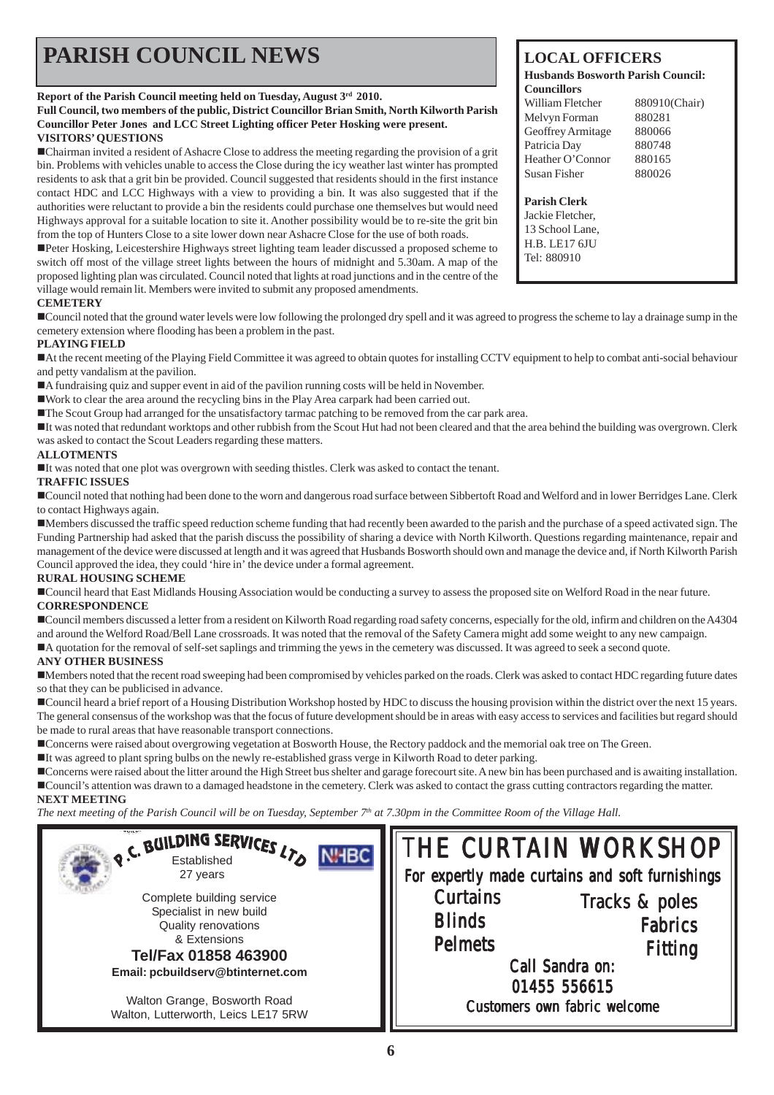# **PARISH COUNCIL NEWS** LOCAL OFFICERS

### **Report of the Parish Council meeting held on Tuesday, August 3rd 2010.**

#### **Full Council, two members of the public, District Councillor Brian Smith, North Kilworth Parish Councillor Peter Jones and LCC Street Lighting officer Peter Hosking were present. VISITORS' QUESTIONS**

!Chairman invited a resident of Ashacre Close to address the meeting regarding the provision of a grit bin. Problems with vehicles unable to access the Close during the icy weather last winter has prompted residents to ask that a grit bin be provided. Council suggested that residents should in the first instance contact HDC and LCC Highways with a view to providing a bin. It was also suggested that if the authorities were reluctant to provide a bin the residents could purchase one themselves but would need Highways approval for a suitable location to site it. Another possibility would be to re-site the grit bin from the top of Hunters Close to a site lower down near Ashacre Close for the use of both roads.

■Peter Hosking, Leicestershire Highways street lighting team leader discussed a proposed scheme to switch off most of the village street lights between the hours of midnight and 5.30am. A map of the proposed lighting plan was circulated. Council noted that lights at road junctions and in the centre of the village would remain lit. Members were invited to submit any proposed amendments.

### **CEMETERY**

!Council noted that the ground water levels were low following the prolonged dry spell and it was agreed to progress the scheme to lay a drainage sump in the cemetery extension where flooding has been a problem in the past.

### **PLAYING FIELD**

!At the recent meeting of the Playing Field Committee it was agreed to obtain quotes for installing CCTV equipment to help to combat anti-social behaviour and petty vandalism at the pavilion.

!A fundraising quiz and supper event in aid of the pavilion running costs will be held in November.

!Work to clear the area around the recycling bins in the Play Area carpark had been carried out.

!The Scout Group had arranged for the unsatisfactory tarmac patching to be removed from the car park area.

!It was noted that redundant worktops and other rubbish from the Scout Hut had not been cleared and that the area behind the building was overgrown. Clerk was asked to contact the Scout Leaders regarding these matters.

#### **ALLOTMENTS**

!It was noted that one plot was overgrown with seeding thistles. Clerk was asked to contact the tenant.

#### **TRAFFIC ISSUES**

!Council noted that nothing had been done to the worn and dangerous road surface between Sibbertoft Road and Welford and in lower Berridges Lane. Clerk to contact Highways again.

!Members discussed the traffic speed reduction scheme funding that had recently been awarded to the parish and the purchase of a speed activated sign. The Funding Partnership had asked that the parish discuss the possibility of sharing a device with North Kilworth. Questions regarding maintenance, repair and management of the device were discussed at length and it was agreed that Husbands Bosworth should own and manage the device and, if North Kilworth Parish Council approved the idea, they could 'hire in' the device under a formal agreement.

#### **RURAL HOUSING SCHEME**

!Council heard that East Midlands Housing Association would be conducting a survey to assess the proposed site on Welford Road in the near future. **CORRESPONDENCE**

!Council members discussed a letter from a resident on Kilworth Road regarding road safety concerns, especially for the old, infirm and children on the A4304 and around the Welford Road/Bell Lane crossroads. It was noted that the removal of the Safety Camera might add some weight to any new campaign.

!A quotation for the removal of self-set saplings and trimming the yews in the cemetery was discussed. It was agreed to seek a second quote.

### **ANY OTHER BUSINESS**

!Members noted that the recent road sweeping had been compromised by vehicles parked on the roads. Clerk was asked to contact HDC regarding future dates so that they can be publicised in advance.

!Council heard a brief report of a Housing Distribution Workshop hosted by HDC to discuss the housing provision within the district over the next 15 years. The general consensus of the workshop was that the focus of future development should be in areas with easy access to services and facilities but regard should be made to rural areas that have reasonable transport connections.

!Concerns were raised about overgrowing vegetation at Bosworth House, the Rectory paddock and the memorial oak tree on The Green.

!It was agreed to plant spring bulbs on the newly re-established grass verge in Kilworth Road to deter parking.

■Concerns were raised about the litter around the High Street bus shelter and garage forecourt site. A new bin has been purchased and is awaiting installation. !Council's attention was drawn to a damaged headstone in the cemetery. Clerk was asked to contact the grass cutting contractors regarding the matter. **NEXT MEETING**

*The next meeting of the Parish Council will be on Tuesday, September 7th at 7.30pm in the Committee Room of the Village Hall.*



**Husbands Bosworth Parish Council: Councillors**

William Fletcher 880910(Chair) Melvyn Forman 880281 Geoffrey Armitage 880066 Patricia Day 880748 Heather O'Connor 880165 Susan Fisher 880026

**Parish Clerk** Jackie Fletcher, 13 School Lane, H.B. LE17 6JU Tel: 880910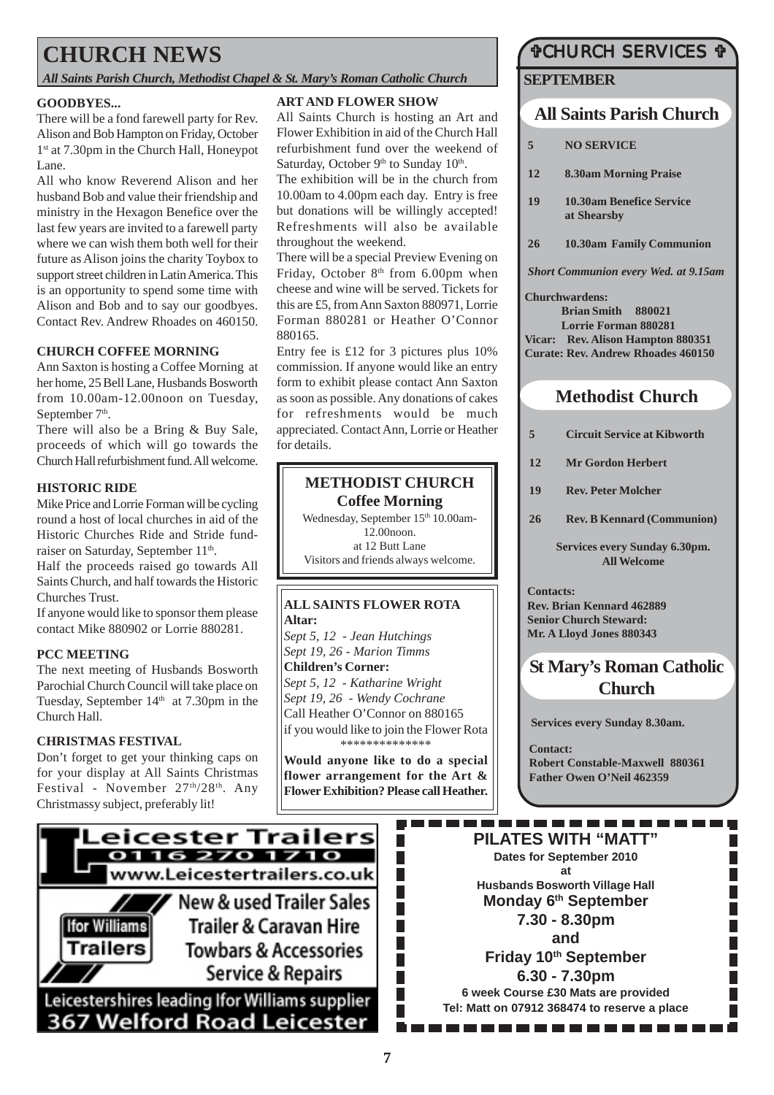# **CHURCH NEWS**

*All Saints Parish Church, Methodist Chapel & St. Mary's Roman Catholic Church*

#### **GOODBYES...**

There will be a fond farewell party for Rev. Alison and Bob Hampton on Friday, October 1<sup>st</sup> at 7.30pm in the Church Hall, Honeypot Lane.

All who know Reverend Alison and her husband Bob and value their friendship and ministry in the Hexagon Benefice over the last few years are invited to a farewell party where we can wish them both well for their future as Alison joins the charity Toybox to support street children in Latin America. This is an opportunity to spend some time with Alison and Bob and to say our goodbyes. Contact Rev. Andrew Rhoades on 460150.

Ann Saxton is hosting a Coffee Morning at her home, 25 Bell Lane, Husbands Bosworth from 10.00am-12.00noon on Tuesday, September 7<sup>th</sup>.

There will also be a Bring & Buy Sale, proceeds of which will go towards the Church Hall refurbishment fund. All welcome.

### **HISTORIC RIDE**

Mike Price and Lorrie Forman will be cycling round a host of local churches in aid of the Historic Churches Ride and Stride fundraiser on Saturday, September 11<sup>th</sup>. Half the proceeds raised go towards All

Saints Church, and half towards the Historic Churches Trust.

If anyone would like to sponsor them please contact Mike 880902 or Lorrie 880281.

#### **PCC MEETING**

The next meeting of Husbands Bosworth Parochial Church Council will take place on Tuesday, September  $14<sup>th</sup>$  at 7.30pm in the Church Hall.

#### **CHRISTMAS FESTIVAL**

Don't forget to get your thinking caps on for your display at All Saints Christmas Festival - November 27<sup>th</sup>/28<sup>th</sup>. Any Christmassy subject, preferably lit!

#### **ART AND FLOWER SHOW**

All Saints Church is hosting an Art and Flower Exhibition in aid of the Church Hall refurbishment fund over the weekend of Saturday, October  $9<sup>th</sup>$  to Sunday  $10<sup>th</sup>$ .

The exhibition will be in the church from 10.00am to 4.00pm each day. Entry is free but donations will be willingly accepted! Refreshments will also be available throughout the weekend.

There will be a special Preview Evening on Friday, October  $8<sup>th</sup>$  from 6.00pm when cheese and wine will be served. Tickets for this are £5, from Ann Saxton 880971, Lorrie Forman 880281 or Heather O'Connor 880165.

**CHURCH COFFEE MORNING** Entry fee is £12 for 3 pictures plus 10% Curate: Rev. Andrew Rhoades 460150 commission. If anyone would like an entry form to exhibit please contact Ann Saxton as soon as possible. Any donations of cakes for refreshments would be much appreciated. Contact Ann, Lorrie or Heather for details.

### **METHODIST CHURCH Coffee Morning**

Wednesday, September 15<sup>th</sup> 10.00am-12.00noon. at 12 Butt Lane Visitors and friends always welcome.

#### **ALL SAINTS FLOWER ROTA Altar:**

*Sept 5, 12 - Jean Hutchings Sept 19, 26 - Marion Timms* **Children's Corner:** *Sept 5, 12 - Katharine Wright Sept 19, 26 - Wendy Cochrane* Call Heather O'Connor on 880165 if you would like to join the Flower Rota \*\*\*\*\*\*\*\*\*\*\*\*\*\*

**Would anyone like to do a special flower arrangement for the Art & Flower Exhibition? Please call Heather.**

П

П

П П

 $\Box$ 

П П

П

П П

П

# **TCHURCH SERVICES T**

### **SEPTEMBER**

## **All Saints Parish Church**

- **5 NO SERVICE**
- **12 8.30am Morning Praise**
- **19 10.30am Benefice Service at Shearsby**
- **26 10.30am Family Communion**

*Short Communion every Wed. at 9.15am*

**Churchwardens:**

**Brian Smith 880021 Lorrie Forman 880281 Vicar: Rev. Alison Hampton 880351**

# **Methodist Church**

- **5 Circuit Service at Kibworth**
- **12 Mr Gordon Herbert**
- **19 Rev. Peter Molcher**
- **26 Rev. B Kennard (Communion)**

**Services every Sunday 6.30pm. All Welcome**

**Contacts: Rev. Brian Kennard 462889 Senior Church Steward: Mr. A Lloyd Jones 880343**

# **St Mary's Roman Catholic Church**

**Services every Sunday 8.30am.**

**Contact: Robert Constable-Maxwell 880361 Father Owen O'Neil 462359**

**Leicester Trailers** 0116 270 1710 www.Leicestertrailers.co.uk New & used Trailer Sales **Ifor Williams Trailer & Caravan Hire Trailers Towbars & Accessories** Service & Repairs Leicestershires leading Ifor Williams supplier

**367 Welford Road Leicester** 

**PEE 61 PILATES WITH "MATT" Dates for September 2010 at Husbands Bosworth Village Hall Monday 6th September 7.30 - 8.30pm and Friday 10th September 6.30 - 7.30pm**

**6 week Course £30 Mats are provided Tel: Matt on 07912 368474 to reserve a place**